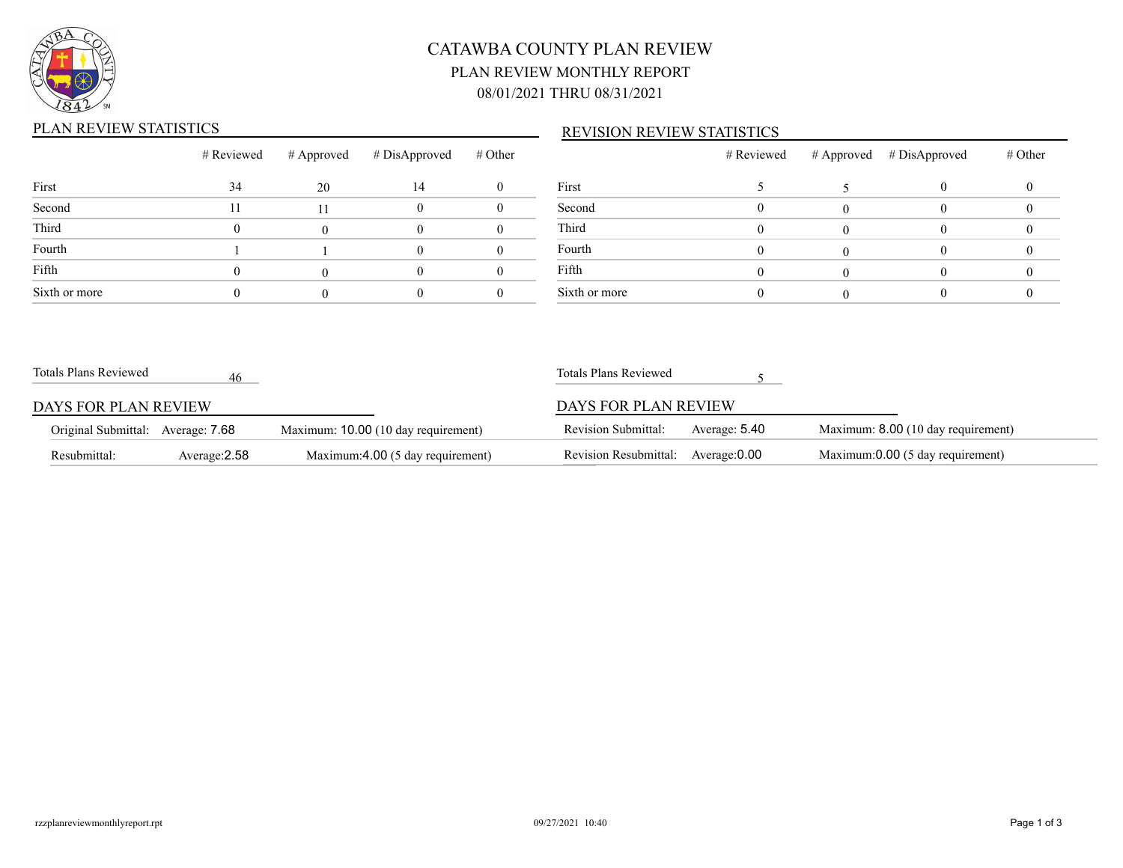

# CATAWBA COUNTY PLAN REVIEW PLAN REVIEW MONTHLY REPORT 08/01/2021 THRU 08/31/2021

### PLAN REVIEW STATISTICS

#### REVISION REVIEW STATISTICS

|               | # Reviewed | # Approved | # DisApproved | # Other |       |
|---------------|------------|------------|---------------|---------|-------|
| First         | 34         | 20         | 14            |         | First |
| Second        | 11         | 11         |               |         | Seco  |
| Third         |            |            |               |         | Third |
| Fourth        |            |            |               |         | Four  |
| Fifth         |            |            |               |         | Fifth |
| Sixth or more |            |            |               |         | Sixth |

|               | # Reviewed | # Approved # DisApproved | # Other |
|---------------|------------|--------------------------|---------|
| First         |            |                          |         |
| Second        |            |                          |         |
| Third         |            |                          |         |
| Fourth        |            |                          |         |
| Fifth         |            |                          |         |
| Sixth or more |            |                          |         |

| Totals Plans Reviewed             | 46            |                                     | Totals Plans Reviewed      |               |                                    |
|-----------------------------------|---------------|-------------------------------------|----------------------------|---------------|------------------------------------|
| DAYS FOR PLAN REVIEW              |               |                                     | DAYS FOR PLAN REVIEW       |               |                                    |
| Original Submittal: Average: 7.68 |               | Maximum: 10.00 (10 day requirement) | <b>Revision Submittal:</b> | Average: 5.40 | Maximum: 8.00 (10 day requirement) |
| Resubmittal:                      | Average: 2.58 | Maximum:4.00 (5 day requirement)    | Revision Resubmittal:      | Average: 0.00 | Maximum:0.00 (5 day requirement)   |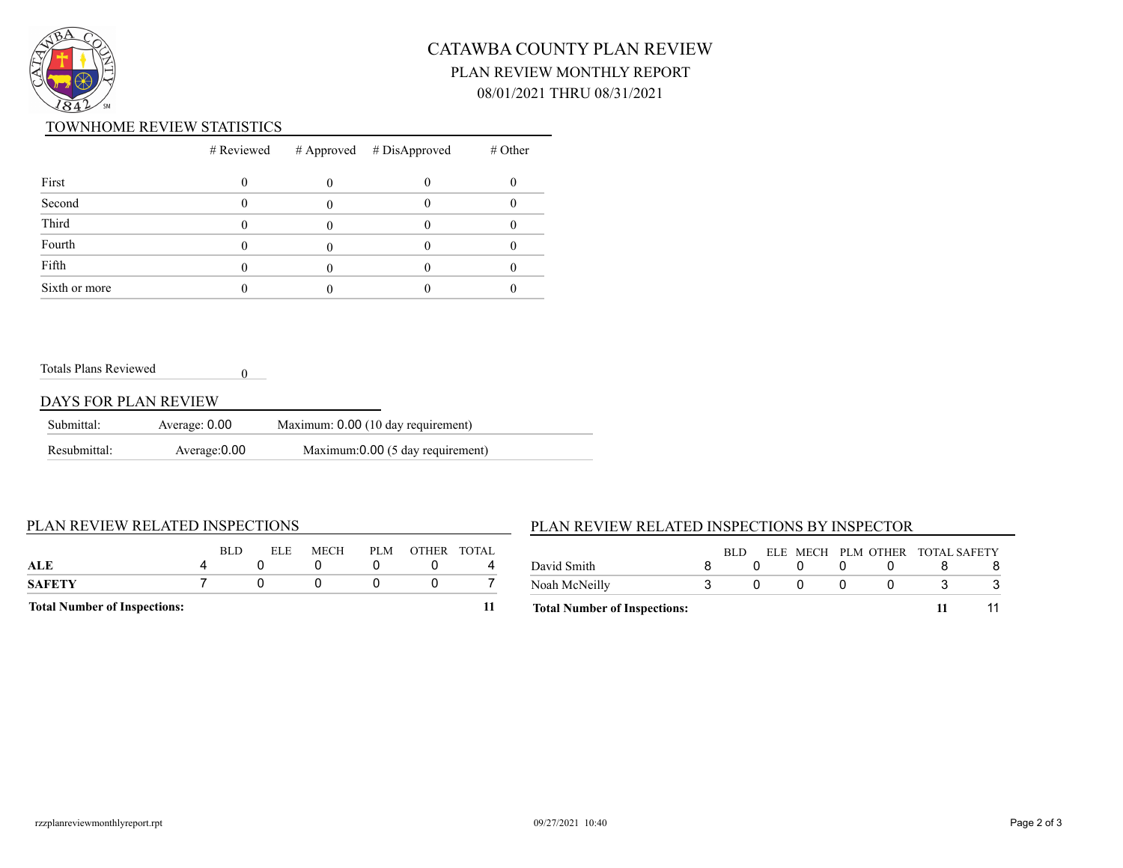

# CATAWBA COUNTY PLAN REVIEW PLAN REVIEW MONTHLY REPORT 08/01/2021 THRU 08/31/2021

#### TOWNHOME REVIEW STATISTICS

|               |  | $#$ Reviewed $#$ Approved $#$ DisApproved | $#$ Other |
|---------------|--|-------------------------------------------|-----------|
| First         |  |                                           |           |
| Second        |  |                                           |           |
| Third         |  |                                           |           |
| Fourth        |  |                                           |           |
| Fifth         |  |                                           |           |
| Sixth or more |  |                                           |           |

Totals Plans Reviewed

#### DAYS FOR PLAN REVIEW

| Submittal:   | Average: 0.00 | Maximum: 0.00 (10 day requirement) |
|--------------|---------------|------------------------------------|
| Resubmittal: | Average: 0.00 | Maximum:0.00 (5 day requirement)   |

0

#### PLAN REVIEW RELATED INSPECTIONS

### PLAN REVIEW RELATED INSPECTIONS BY INSPECTOR

| SAFETY                                  |             |
|-----------------------------------------|-------------|
|                                         |             |
| ALE                                     |             |
| PLM<br><b>BLD</b><br><b>ELE</b><br>MECH | OTHER TOTAL |

| <b>Total Number of Inspections:</b> |      |  |  |                                 |  |
|-------------------------------------|------|--|--|---------------------------------|--|
| Noah McNeilly                       |      |  |  |                                 |  |
| David Smith                         |      |  |  |                                 |  |
|                                     | RLD. |  |  | ELE MECH PLM OTHER TOTAL SAFETY |  |